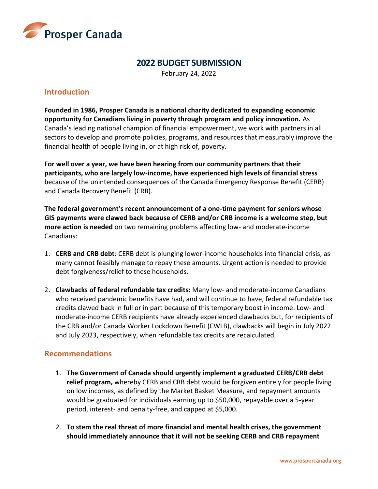

## **2022 BUDGET SUBMISSION**

February 24, 2022

## **Introduction**

**Founded in 1986, Prosper Canada is a national charity dedicated to expanding economic opportunity for Canadians living in poverty through program and policy innovation.** As Canada's leading national champion of financial empowerment, we work with partners in all sectors to develop and promote policies, programs, and resources that measurably improve the financial health of people living in, or at high risk of, poverty.

**For well over a year, we have been hearing from our community partners that their participants, who are largely low-income, have experienced high levels of financial stress** because of the unintended consequences of the Canada Emergency Response Benefit (CERB) and Canada Recovery Benefit (CRB).

**The federal government's recent announcement of a one-time payment for seniors whose GIS payments were clawed back because of CERB and/or CRB income is a welcome step, but more action is needed** on two remaining problems affecting low- and moderate-income Canadians:

- 1. **CERB and CRB debt**: CERB debt is plunging lower-income households into financial crisis, as many cannot feasibly manage to repay these amounts. Urgent action is needed to provide debt forgiveness/relief to these households.
- 2. **Clawbacks of federal refundable tax credits:** Many low- and moderate-income Canadians who received pandemic benefits have had, and will continue to have, federal refundable tax credits clawed back in full or in part because of this temporary boost in income. Low- and moderate-income CERB recipients have already experienced clawbacks but, for recipients of the CRB and/or Canada Worker Lockdown Benefit (CWLB), clawbacks will begin in July 2022 and July 2023, respectively, when refundable tax credits are recalculated.

#### **Recommendations**

- 1. **The Government of Canada should urgently implement a graduated CERB/CRB debt relief program,** whereby CERB and CRB debt would be forgiven entirely for people living on low incomes, as defined by the Market Basket Measure, and repayment amounts would be graduated for individuals earning up to \$50,000, repayable over a 5-year period, interest- and penalty-free, and capped at \$5,000.
- 2. **To stem the real threat of more financial and mental health crises, the government should immediately announce that it will not be seeking CERB and CRB repayment**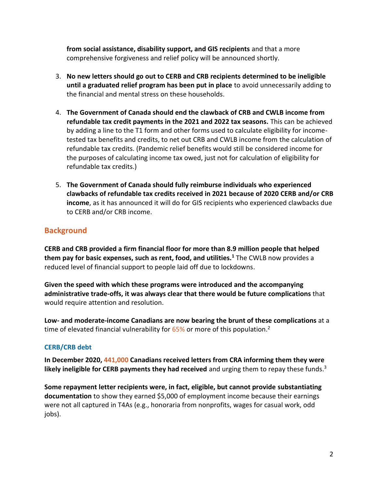**from social assistance, disability support, and GIS recipients** and that a more comprehensive forgiveness and relief policy will be announced shortly.

- 3. **No new letters should go out to CERB and CRB recipients determined to be ineligible until a graduated relief program has been put in place** to avoid unnecessarily adding to the financial and mental stress on these households.
- 4. **The Government of Canada should end the clawback of CRB and CWLB income from refundable tax credit payments in the 2021 and 2022 tax seasons.** This can be achieved by adding a line to the T1 form and other forms used to calculate eligibility for incometested tax benefits and credits, to net out CRB and CWLB income from the calculation of refundable tax credits. (Pandemic relief benefits would still be considered income for the purposes of calculating income tax owed, just not for calculation of eligibility for refundable tax credits.)
- 5. **The Government of Canada should fully reimburse individuals who experienced clawbacks of refundable tax credits received in 2021 because of 2020 CERB and/or CRB income**, as it has announced it will do for GIS recipients who experienced clawbacks due to CERB and/or CRB income.

# **Background**

**CERB and CRB provided a firm financial floor for more than 8.9 million people that helped them pay for basic expenses, such as rent, food, and utilities.<sup>1</sup>** The CWLB now provides a reduced level of financial support to people laid off due to lockdowns.

**Given the speed with which these programs were introduced and the accompanying administrative trade-offs, it was always clear that there would be future complications** that would require attention and resolution.

**Low- and moderate-income Canadians are now bearing the brunt of these complications** at a time of elevated financial vulnerability for 65% or more of this population.<sup>2</sup>

#### **CERB/CRB debt**

**In December 2020, 441,000 Canadians received letters from CRA informing them they were likely ineligible for CERB payments they had received** and urging them to repay these funds. 3

**Some repayment letter recipients were, in fact, eligible, but cannot provide substantiating documentation** to show they earned \$5,000 of employment income because their earnings were not all captured in T4As (e.g., honoraria from nonprofits, wages for casual work, odd jobs).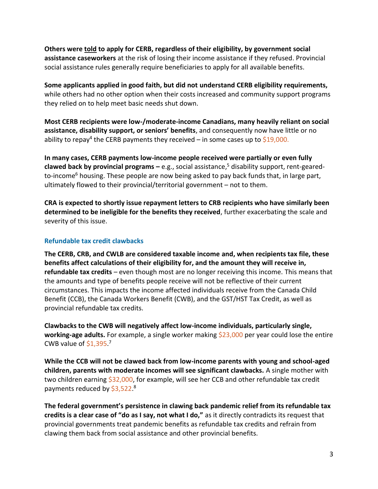**Others were told to apply for CERB, regardless of their eligibility, by government social assistance caseworkers** at the risk of losing their income assistance if they refused. Provincial social assistance rules generally require beneficiaries to apply for all available benefits.

**Some applicants applied in good faith, but did not understand CERB eligibility requirements,** while others had no other option when their costs increased and community support programs they relied on to help meet basic needs shut down.

**Most CERB recipients were low-/moderate-income Canadians, many heavily reliant on social assistance, disability support, or seniors' benefits**, and consequently now have little or no ability to repay<sup>4</sup> the CERB payments they received – in some cases up to \$19,000.

**In many cases, CERB payments low-income people received were partially or even fully clawed back by provincial programs –** e.g., social assistance, <sup>5</sup> disability support, rent-gearedto-income<sup>6</sup> housing. These people are now being asked to pay back funds that, in large part, ultimately flowed to their provincial/territorial government – not to them.

**CRA is expected to shortly issue repayment letters to CRB recipients who have similarly been determined to be ineligible for the benefits they received**, further exacerbating the scale and severity of this issue.

#### **Refundable tax credit clawbacks**

**The CERB, CRB, and CWLB are considered taxable income and, when recipients tax file, these benefits affect calculations of their eligibility for, and the amount they will receive in, refundable tax credits** – even though most are no longer receiving this income. This means that the amounts and type of benefits people receive will not be reflective of their current circumstances. This impacts the income affected individuals receive from the Canada Child Benefit (CCB), the Canada Workers Benefit (CWB), and the GST/HST Tax Credit, as well as provincial refundable tax credits.

**Clawbacks to the CWB will negatively affect low-income individuals, particularly single, working-age adults.** For example, a single worker making \$23,000 per year could lose the entire CWB value of  $$1,395.<sup>7</sup>$ 

**While the CCB will not be clawed back from low-income parents with young and school-aged children, parents with moderate incomes will see significant clawbacks.** A single mother with two children earning \$32,000, for example, will see her CCB and other refundable tax credit payments reduced by \$3,522.<sup>8</sup>

**The federal government's persistence in clawing back pandemic relief from its refundable tax credits is a clear case of "do as I say, not what I do,"** as it directly contradicts its request that provincial governments treat pandemic benefits as refundable tax credits and refrain from clawing them back from social assistance and other provincial benefits.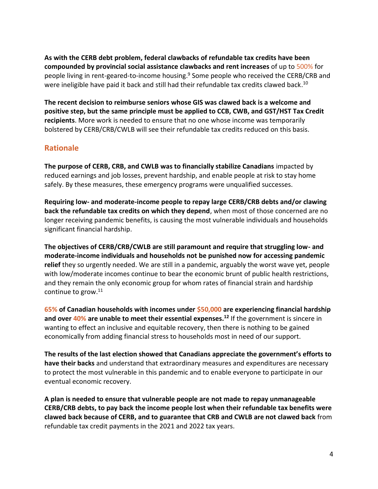**As with the CERB debt problem, federal clawbacks of refundable tax credits have been compounded by provincial social assistance clawbacks and rent increases** of up to 500% for people living in rent-geared-to-income housing. <sup>9</sup> Some people who received the CERB/CRB and were ineligible have paid it back and still had their refundable tax credits clawed back.<sup>10</sup>

**The recent decision to reimburse seniors whose GIS was clawed back is a welcome and positive step, but the same principle must be applied to CCB, CWB, and GST/HST Tax Credit recipients**. More work is needed to ensure that no one whose income was temporarily bolstered by CERB/CRB/CWLB will see their refundable tax credits reduced on this basis.

## **Rationale**

**The purpose of CERB, CRB, and CWLB was to financially stabilize Canadians** impacted by reduced earnings and job losses, prevent hardship, and enable people at risk to stay home safely. By these measures, these emergency programs were unqualified successes.

**Requiring low- and moderate-income people to repay large CERB/CRB debts and/or clawing back the refundable tax credits on which they depend**, when most of those concerned are no longer receiving pandemic benefits, is causing the most vulnerable individuals and households significant financial hardship.

**The objectives of CERB/CRB/CWLB are still paramount and require that struggling low- and moderate-income individuals and households not be punished now for accessing pandemic relief** they so urgently needed. We are still in a pandemic, arguably the worst wave yet, people with low/moderate incomes continue to bear the economic brunt of public health restrictions, and they remain the only economic group for whom rates of financial strain and hardship continue to grow. 11

**65% of Canadian households with incomes under \$50,000 are experiencing financial hardship and over 40% are unable to meet their essential expenses. <sup>12</sup>** If the government is sincere in wanting to effect an inclusive and equitable recovery, then there is nothing to be gained economically from adding financial stress to households most in need of our support.

**The results of the last election showed that Canadians appreciate the government's efforts to have their backs** and understand that extraordinary measures and expenditures are necessary to protect the most vulnerable in this pandemic and to enable everyone to participate in our eventual economic recovery.

**A plan is needed to ensure that vulnerable people are not made to repay unmanageable CERB/CRB debts, to pay back the income people lost when their refundable tax benefits were clawed back because of CERB, and to guarantee that CRB and CWLB are not clawed back** from refundable tax credit payments in the 2021 and 2022 tax years.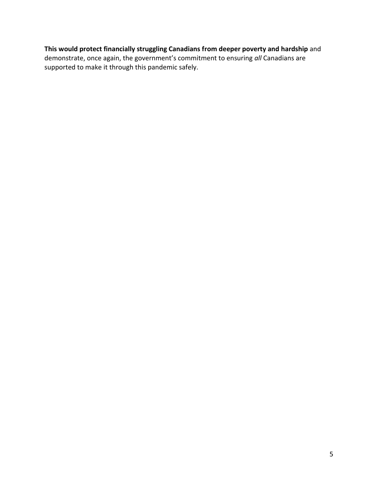## **This would protect financially struggling Canadians from deeper poverty and hardship** and demonstrate, once again, the government's commitment to ensuring *all* Canadians are supported to make it through this pandemic safely.